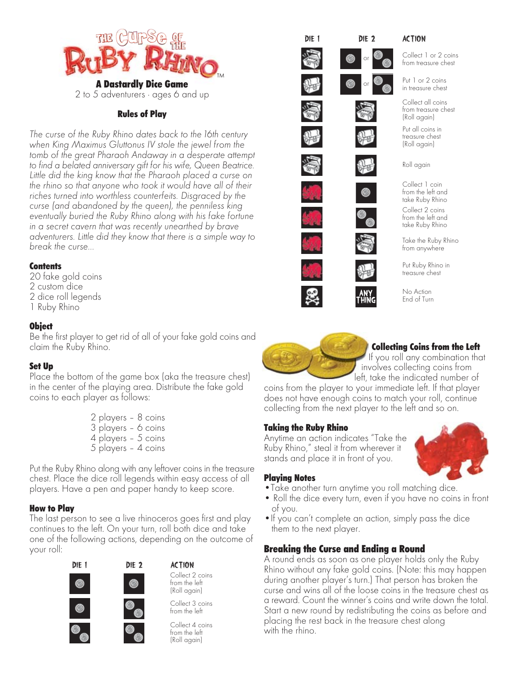

## Rules of Play

*The curse of the Ruby Rhino dates back to the 16th century when King Maximus Gluttonus IV stole the jewel from the tomb of the great Pharaoh Andaway in a desperate attempt to find a belated anniversary gift for his wife, Queen Beatrice. Little did the king know that the Pharaoh placed a curse on the rhino so that anyone who took it would have all of their riches turned into worthless counterfeits. Disgraced by the curse (and abandoned by the queen), the penniless king eventually buried the Ruby Rhino along with his fake fortune in a secret cavern that was recently unearthed by brave adventurers. Little did they know that there is a simple way to break the curse...*

## **Contents**

20 fake gold coins 2 custom dice 2 dice roll legends 1 Ruby Rhino

## **Object**

Be the first player to get rid of all of your fake gold coins and claim the Ruby Rhino.

## Set Up

Place the bottom of the game box (aka the treasure chest) in the center of the playing area. Distribute the fake gold coins to each player as follows:

> 2 players – 8 coins 3 players – 6 coins 4 players – 5 coins 5 players – 4 coins

Put the Ruby Rhino along with any leftover coins in the treasure chest. Place the dice roll legends within easy access of all players. Have a pen and paper handy to keep score.

## How to Play

The last person to see a live rhinoceros goes first and play continues to the left. On your turn, roll both dice and take one of the following actions, depending on the outcome of your roll:



Collect 2 coins from the left (Roll again)



Collect 4 coins from the left (Roll again)



Collect 1 or 2 coins from treasure chest

Put 1 or 2 coins in treasure chest

Collect all coins from treasure chest (Roll again)

Put all coins in treasure chest (Roll again)

Roll again

Collect 2 coins from the left and take Ruby Rhino Collect 1 coin from the left and take Ruby Rhino

Take the Ruby Rhino from anywhere



End of Turn



# Collecting Coins from the Left

If you roll any combination that involves collecting coins from left, take the indicated number of

coins from the player to your immediate left. If that player does not have enough coins to match your roll, continue collecting from the next player to the left and so on.

## Taking the Ruby Rhino

Anytime an action indicates "Take the Ruby Rhino," steal it from wherever it stands and place it in front of you.



## Playing Notes

- •Take another turn anytime you roll matching dice.
- Roll the dice every turn, even if you have no coins in front of you.
- •If you can't complete an action, simply pass the dice them to the next player.

# Breaking the Curse and Ending a Round

A round ends as soon as one player holds only the Ruby Rhino without any fake gold coins. (Note: this may happen during another player's turn.) That person has broken the curse and wins all of the loose coins in the treasure chest as a reward. Count the winner's coins and write down the total. Start a new round by redistributing the coins as before and placing the rest back in the treasure chest along with the rhino.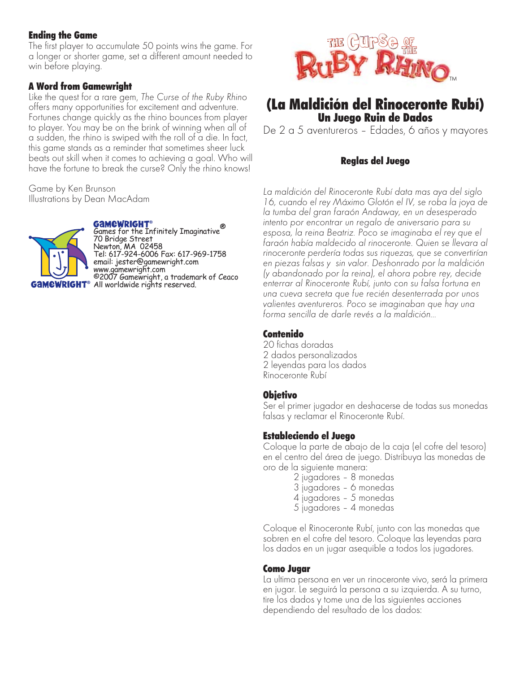# **Ending the Game**

The first player to accumulate 50 points wins the game. For a longer or shorter game, set a different amount needed to win before playing.

# **A Word from Gamewright**

Like the quest for a rare gem, The Curse of the Ruby Rhino offers many opportunities for excitement and adventure. Fortunes change quickly as the rhino bounces from player to player. You may be on the brink of winning when all of a sudden, the rhino is swiped with the roll of a die. In fact, this game stands as a reminder that sometimes sheer luck beats out skill when it comes to achieving a goal. Who will have the fortune to break the curse? Only the rhino knows!

Game by Ken Brunson Illustrations by Dean MacAdam



**GAMEWRIGHT**®<br>Games for the Infinitely Imaginative®<br>70 Bridge Street<br>Newton, MA 02458<br>Tel: 617-924-6006 Fax: 617-969-1758<br>email: jester@gamewright.com **Example 2007**<br>
Examely in the computation<br>
COOT Gamewright, a trademark of Ceaco<br> **MEWRIGHT**® All worldwide rights reserved.



# (La Maldición del Rinoceronte Rubí) **Un Juego Ruin de Dados**

De 2 a 5 aventureros - Edades, 6 años y mayores

# **Reglas del Juego**

La maldición del Rinoceronte Rubí data mas aya del siglo 16, cuando el rey Máximo Glotón el IV, se roba la joya de la tumba del gran faraón Andaway, en un desesperado intento por encontrar un regalo de aniversario para su esposa, la reina Beatriz. Poco se imaginaba el rey que el faraón había maldecido al rinoceronte. Quien se llevara al rinoceronte perdería todas sus riquezas, que se convertirían en piezas falsas y sin valor. Deshonrado por la maldición (y abandonado por la reina), el ahora pobre rey, decide enterrar al Rinoceronte Rubí, junto con su falsa fortuna en una cueva secreta que fue recién desenterrada por unos valientes aventureros. Poco se imaginaban que hay una forma sencilla de darle revés a la maldición...

# Contenido

20 fichas doradas 2 dados personalizados 2 leyendas para los dados Rinoceronte Rubí

# **Objetivo**

Ser el primer jugador en deshacerse de todas sus monedas falsas y reclamar el Rinoceronte Rubí.

# **Estableciendo el Juego**

Coloque la parte de abajo de la caja (el cofre del tesoro) en el centro del área de juego. Distribuya las monedas de oro de la siguiente manera:

- 2 jugadores 8 monedas
- 3 jugadores 6 monedas
- 4 jugadores 5 monedas
- 5 jugadores 4 monedas

Coloque el Rinoceronte Rubí, junto con las monedas que sobren en el cofre del tesoro. Coloque las leyendas para los dados en un jugar asequible a todos los jugadores.

# Como Jugar

La ultima persona en ver un rinoceronte vivo, será la primera en jugar. Le seguirá la persona a su izquierda. A su turno, tire los dados y tome una de las siguientes acciones dependiendo del resultado de los dados: